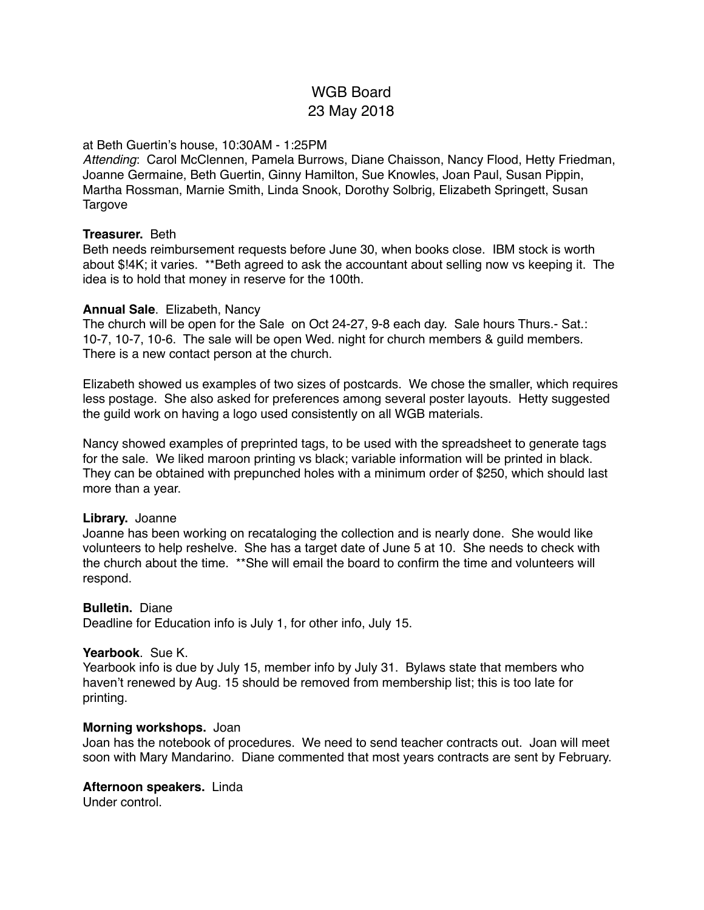# WGB Board 23 May 2018

# at Beth Guertin's house, 10:30AM - 1:25PM

*Attending*: Carol McClennen, Pamela Burrows, Diane Chaisson, Nancy Flood, Hetty Friedman, Joanne Germaine, Beth Guertin, Ginny Hamilton, Sue Knowles, Joan Paul, Susan Pippin, Martha Rossman, Marnie Smith, Linda Snook, Dorothy Solbrig, Elizabeth Springett, Susan Targove

#### **Treasurer.** Beth

Beth needs reimbursement requests before June 30, when books close. IBM stock is worth about \$!4K; it varies. \*\*Beth agreed to ask the accountant about selling now vs keeping it. The idea is to hold that money in reserve for the 100th.

#### **Annual Sale**. Elizabeth, Nancy

The church will be open for the Sale on Oct 24-27, 9-8 each day. Sale hours Thurs.- Sat.: 10-7, 10-7, 10-6. The sale will be open Wed. night for church members & guild members. There is a new contact person at the church.

Elizabeth showed us examples of two sizes of postcards. We chose the smaller, which requires less postage. She also asked for preferences among several poster layouts. Hetty suggested the guild work on having a logo used consistently on all WGB materials.

Nancy showed examples of preprinted tags, to be used with the spreadsheet to generate tags for the sale. We liked maroon printing vs black; variable information will be printed in black. They can be obtained with prepunched holes with a minimum order of \$250, which should last more than a year.

# **Library.** Joanne

Joanne has been working on recataloging the collection and is nearly done. She would like volunteers to help reshelve. She has a target date of June 5 at 10. She needs to check with the church about the time. \*\*She will email the board to confirm the time and volunteers will respond.

# **Bulletin.** Diane

Deadline for Education info is July 1, for other info, July 15.

# **Yearbook**. Sue K.

Yearbook info is due by July 15, member info by July 31. Bylaws state that members who haven't renewed by Aug. 15 should be removed from membership list; this is too late for printing.

# **Morning workshops.** Joan

Joan has the notebook of procedures. We need to send teacher contracts out. Joan will meet soon with Mary Mandarino. Diane commented that most years contracts are sent by February.

#### **Afternoon speakers.** Linda

Under control.